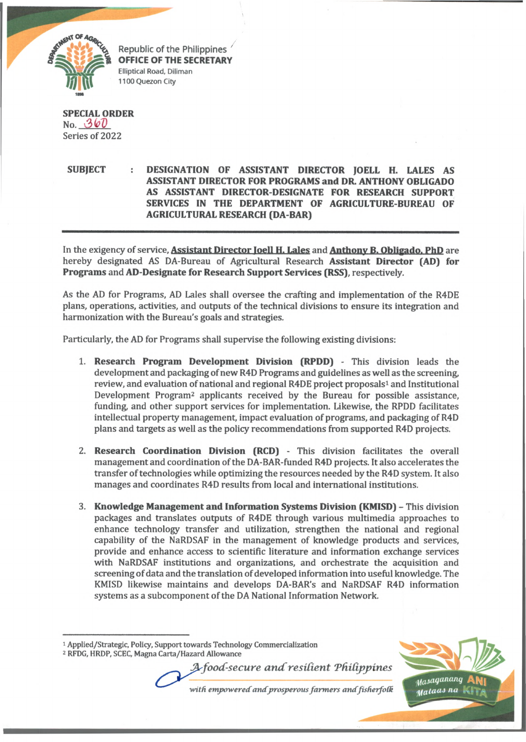

Republic of the Philippines **OFFICE OF THE SECRETARY Elliptical Road, Diliman 1100 Quezon City**

**SPECIAL ORDER** No. 360 Series of 2022

**SUBJECT DESIGNATION OF ASSISTANT DIRECTOR JOELL H. LALES AS ASSISTANT DIRECTOR FOR PROGRAMS and DR- ANTHONY OBLIGADO AS ASSISTANT DIRECTOR-DESIGNATE FOR RESEARCH SUPPORT SERVICES IN THE DEPARTMENT OF AGRICULTURE-BUREAU OF AGRICULTURAL RESEARCH (DA-BAR)**

In the exigency of service. **Assistant Director loell H. Lales** and **Anthony B. Obligado. PhD** are hereby designated AS DA-Bureau of Agricultural Research **Assistant Director (AD) for Programs** and **AD-Designate for Research Support Services (RSS),** respectively.

As the AD for Programs, AD Lales shall oversee the crafting and implementation of the R4DE plans, operations, activities, and outputs of the technical divisions to ensure its integration and harmonization with the Bureau's goals and strategies.

Particularly, the AD for Programs shall supervise the following existing divisions:

- 1. **Research Program Development Division (RPDD)**  This division leads the development and packaging of new R4D Programs and guidelines as well as the screening, review, and evaluation of national and regional R4DE project proposals<sup>1</sup> and Institutional Development Program<sup>2</sup> applicants received by the Bureau for possible assistance, funding, and other support services for implementation. Likewise, the RPDD facilitates intellectual property management, impact evaluation of programs, and packaging of R4D plans and targets as well as the policy recommendations from supported R4D projects.
- 2. **Research Coordination Division (RCD)**  This division facilitates the overall management and coordination of the DA-BAR-funded R4D projects. It also accelerates the transfer of technologies while optimizing the resources needed by the R4D system. It also manages and coordinates R4D results from local and international institutions.
- 3. **Knowledge Management and Information Systems Division (KMISD)**  This division packages and translates outputs of R4DE through various multimedia approaches to enhance technology transfer and utilization, strengthen the national and regional capability of the NaRDSAF in the management of knowledge products and services, provide and enhance access to scientific literature and information exchange services with NaRDSAF institutions and organizations, and orchestrate the acquisition and screening of data and the translation of developed information into useful knowledge. The KMISD likewise maintains and develops DA-BAR's and NaRDSAF R4D information systems as a subcomponent of the DA National Information Network.

*A food-secure and resilient Philippines* 

with empowered and prosperous farmers and fisherfolk



<sup>1</sup> **Applied/Strategic, Polity, Support towards Technology Commercialization**

<sup>2</sup> **RFDG, HRDP, SCEC, Magna Carta/Hazard Allowance**